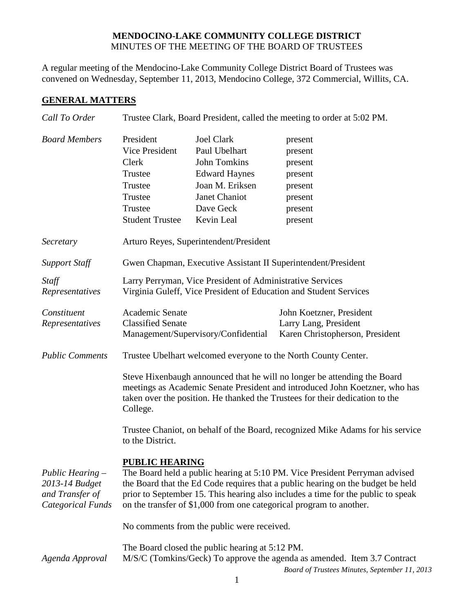#### **MENDOCINO-LAKE COMMUNITY COLLEGE DISTRICT** MINUTES OF THE MEETING OF THE BOARD OF TRUSTEES

A regular meeting of the Mendocino-Lake Community College District Board of Trustees was convened on Wednesday, September 11, 2013, Mendocino College, 372 Commercial, Willits, CA.

# **GENERAL MATTERS**

| Call To Order                                                                       | Trustee Clark, Board President, called the meeting to order at 5:02 PM.                                                                                                                                                                                                                                                                            |                                                           |                                                          |  |
|-------------------------------------------------------------------------------------|----------------------------------------------------------------------------------------------------------------------------------------------------------------------------------------------------------------------------------------------------------------------------------------------------------------------------------------------------|-----------------------------------------------------------|----------------------------------------------------------|--|
| <b>Board Members</b>                                                                | President<br>Vice President<br>Clerk                                                                                                                                                                                                                                                                                                               | <b>Joel Clark</b><br>Paul Ubelhart<br><b>John Tomkins</b> | present<br>present<br>present                            |  |
|                                                                                     | Trustee                                                                                                                                                                                                                                                                                                                                            | <b>Edward Haynes</b>                                      | present                                                  |  |
|                                                                                     | Trustee                                                                                                                                                                                                                                                                                                                                            | Joan M. Eriksen                                           | present                                                  |  |
|                                                                                     | Trustee                                                                                                                                                                                                                                                                                                                                            | Janet Chaniot                                             | present                                                  |  |
|                                                                                     | Trustee                                                                                                                                                                                                                                                                                                                                            | Dave Geck                                                 | present                                                  |  |
|                                                                                     | <b>Student Trustee</b>                                                                                                                                                                                                                                                                                                                             | Kevin Leal                                                | present                                                  |  |
| Secretary                                                                           | Arturo Reyes, Superintendent/President                                                                                                                                                                                                                                                                                                             |                                                           |                                                          |  |
| <b>Support Staff</b>                                                                | Gwen Chapman, Executive Assistant II Superintendent/President                                                                                                                                                                                                                                                                                      |                                                           |                                                          |  |
| Staff<br>Representatives                                                            | Larry Perryman, Vice President of Administrative Services<br>Virginia Guleff, Vice President of Education and Student Services                                                                                                                                                                                                                     |                                                           |                                                          |  |
| Constituent<br>Representatives                                                      | Academic Senate                                                                                                                                                                                                                                                                                                                                    |                                                           | John Koetzner, President                                 |  |
|                                                                                     | <b>Classified Senate</b><br>Management/Supervisory/Confidential                                                                                                                                                                                                                                                                                    |                                                           | Larry Lang, President<br>Karen Christopherson, President |  |
| <b>Public Comments</b>                                                              | Trustee Ubelhart welcomed everyone to the North County Center.                                                                                                                                                                                                                                                                                     |                                                           |                                                          |  |
|                                                                                     | Steve Hixenbaugh announced that he will no longer be attending the Board<br>meetings as Academic Senate President and introduced John Koetzner, who has<br>taken over the position. He thanked the Trustees for their dedication to the<br>College.                                                                                                |                                                           |                                                          |  |
|                                                                                     | Trustee Chaniot, on behalf of the Board, recognized Mike Adams for his service<br>to the District.                                                                                                                                                                                                                                                 |                                                           |                                                          |  |
| Public Hearing $-$<br>2013-14 Budget<br>and Transfer of<br><b>Categorical Funds</b> | <b>PUBLIC HEARING</b><br>The Board held a public hearing at 5:10 PM. Vice President Perryman advised<br>the Board that the Ed Code requires that a public hearing on the budget be held<br>prior to September 15. This hearing also includes a time for the public to speak<br>on the transfer of \$1,000 from one categorical program to another. |                                                           |                                                          |  |
|                                                                                     | No comments from the public were received.                                                                                                                                                                                                                                                                                                         |                                                           |                                                          |  |
| Agenda Approval                                                                     | The Board closed the public hearing at 5:12 PM.<br>M/S/C (Tomkins/Geck) To approve the agenda as amended. Item 3.7 Contract<br>Board of Trustees Minutes, September 11, 2013                                                                                                                                                                       |                                                           |                                                          |  |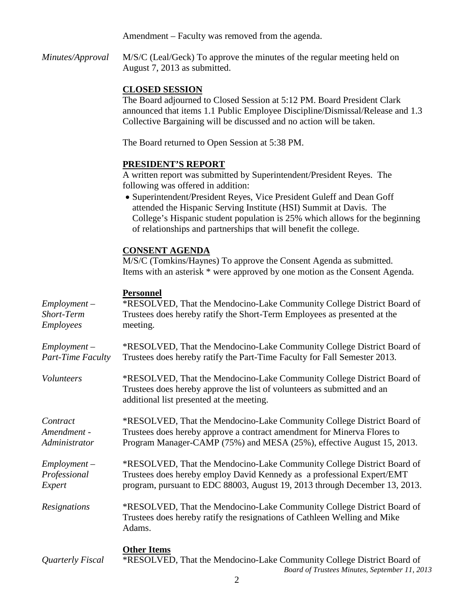Amendment – Faculty was removed from the agenda.

*Minutes/Approval* M/S/C (Leal/Geck) To approve the minutes of the regular meeting held on August 7, 2013 as submitted.

# **CLOSED SESSION**

The Board adjourned to Closed Session at 5:12 PM. Board President Clark announced that items 1.1 Public Employee Discipline/Dismissal/Release and 1.3 Collective Bargaining will be discussed and no action will be taken.

The Board returned to Open Session at 5:38 PM.

### **PRESIDENT'S REPORT**

A written report was submitted by Superintendent/President Reyes. The following was offered in addition:

• Superintendent/President Reyes, Vice President Guleff and Dean Goff attended the Hispanic Serving Institute (HSI) Summit at Davis. The College's Hispanic student population is 25% which allows for the beginning of relationships and partnerships that will benefit the college.

### **CONSENT AGENDA**

M/S/C (Tomkins/Haynes) To approve the Consent Agenda as submitted. Items with an asterisk \* were approved by one motion as the Consent Agenda.

### **Personnel**

| $Employment -$           | *RESOLVED, That the Mendocino-Lake Community College District Board of                                                                                                                         |
|--------------------------|------------------------------------------------------------------------------------------------------------------------------------------------------------------------------------------------|
| Short-Term               | Trustees does hereby ratify the Short-Term Employees as presented at the                                                                                                                       |
| Employees                | meeting.                                                                                                                                                                                       |
| $Employment -$           | *RESOLVED, That the Mendocino-Lake Community College District Board of                                                                                                                         |
| <b>Part-Time Faculty</b> | Trustees does hereby ratify the Part-Time Faculty for Fall Semester 2013.                                                                                                                      |
| Volunteers               | *RESOLVED, That the Mendocino-Lake Community College District Board of<br>Trustees does hereby approve the list of volunteers as submitted and an<br>additional list presented at the meeting. |
| Contract                 | *RESOLVED, That the Mendocino-Lake Community College District Board of                                                                                                                         |
| Amendment -              | Trustees does hereby approve a contract amendment for Minerva Flores to                                                                                                                        |
| Administrator            | Program Manager-CAMP (75%) and MESA (25%), effective August 15, 2013.                                                                                                                          |
| $Employment -$           | *RESOLVED, That the Mendocino-Lake Community College District Board of                                                                                                                         |
| Professional             | Trustees does hereby employ David Kennedy as a professional Expert/EMT                                                                                                                         |
| Expert                   | program, pursuant to EDC 88003, August 19, 2013 through December 13, 2013.                                                                                                                     |
| Resignations             | *RESOLVED, That the Mendocino-Lake Community College District Board of<br>Trustees does hereby ratify the resignations of Cathleen Welling and Mike<br>Adams.                                  |
| Quarterly Fiscal         | <b>Other Items</b><br>*RESOLVED, That the Mendocino-Lake Community College District Board of<br>Board of Trustees Minutes, September 11, 2013                                                  |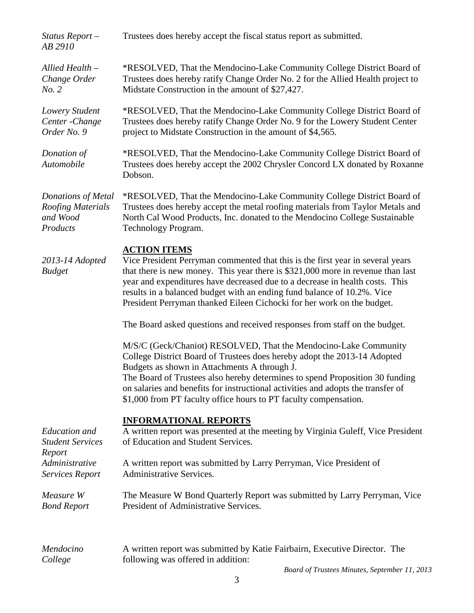| Status Report $-$<br>AB 2910                                                                          | Trustees does hereby accept the fiscal status report as submitted.                                                                                                                                                                                                                                                                                                                                                                   |  |  |
|-------------------------------------------------------------------------------------------------------|--------------------------------------------------------------------------------------------------------------------------------------------------------------------------------------------------------------------------------------------------------------------------------------------------------------------------------------------------------------------------------------------------------------------------------------|--|--|
| Allied Health -<br>Change Order<br>No. 2                                                              | *RESOLVED, That the Mendocino-Lake Community College District Board of<br>Trustees does hereby ratify Change Order No. 2 for the Allied Health project to<br>Midstate Construction in the amount of \$27,427.                                                                                                                                                                                                                        |  |  |
| Lowery Student<br>Center - Change<br>Order No. 9                                                      | *RESOLVED, That the Mendocino-Lake Community College District Board of<br>Trustees does hereby ratify Change Order No. 9 for the Lowery Student Center<br>project to Midstate Construction in the amount of \$4,565.                                                                                                                                                                                                                 |  |  |
| Donation of<br>Automobile                                                                             | *RESOLVED, That the Mendocino-Lake Community College District Board of<br>Trustees does hereby accept the 2002 Chrysler Concord LX donated by Roxanne<br>Dobson.                                                                                                                                                                                                                                                                     |  |  |
| Donations of Metal<br>Roofing Materials<br>and Wood<br>Products                                       | *RESOLVED, That the Mendocino-Lake Community College District Board of<br>Trustees does hereby accept the metal roofing materials from Taylor Metals and<br>North Cal Wood Products, Inc. donated to the Mendocino College Sustainable<br>Technology Program.                                                                                                                                                                        |  |  |
| 2013-14 Adopted<br><b>Budget</b>                                                                      | <b>ACTION ITEMS</b><br>Vice President Perryman commented that this is the first year in several years<br>that there is new money. This year there is \$321,000 more in revenue than last<br>year and expenditures have decreased due to a decrease in health costs. This<br>results in a balanced budget with an ending fund balance of 10.2%. Vice<br>President Perryman thanked Eileen Cichocki for her work on the budget.        |  |  |
|                                                                                                       | The Board asked questions and received responses from staff on the budget.                                                                                                                                                                                                                                                                                                                                                           |  |  |
|                                                                                                       | M/S/C (Geck/Chaniot) RESOLVED, That the Mendocino-Lake Community<br>College District Board of Trustees does hereby adopt the 2013-14 Adopted<br>Budgets as shown in Attachments A through J.<br>The Board of Trustees also hereby determines to spend Proposition 30 funding<br>on salaries and benefits for instructional activities and adopts the transfer of<br>\$1,000 from PT faculty office hours to PT faculty compensation. |  |  |
| <b>Education</b> and<br><b>Student Services</b><br>Report<br>Administrative<br><b>Services Report</b> | <b>INFORMATIONAL REPORTS</b><br>A written report was presented at the meeting by Virginia Guleff, Vice President<br>of Education and Student Services.                                                                                                                                                                                                                                                                               |  |  |
|                                                                                                       | A written report was submitted by Larry Perryman, Vice President of<br><b>Administrative Services.</b>                                                                                                                                                                                                                                                                                                                               |  |  |
| Measure W<br><b>Bond Report</b>                                                                       | The Measure W Bond Quarterly Report was submitted by Larry Perryman, Vice<br>President of Administrative Services.                                                                                                                                                                                                                                                                                                                   |  |  |
| Mendocino<br>College                                                                                  | A written report was submitted by Katie Fairbairn, Executive Director. The<br>following was offered in addition:                                                                                                                                                                                                                                                                                                                     |  |  |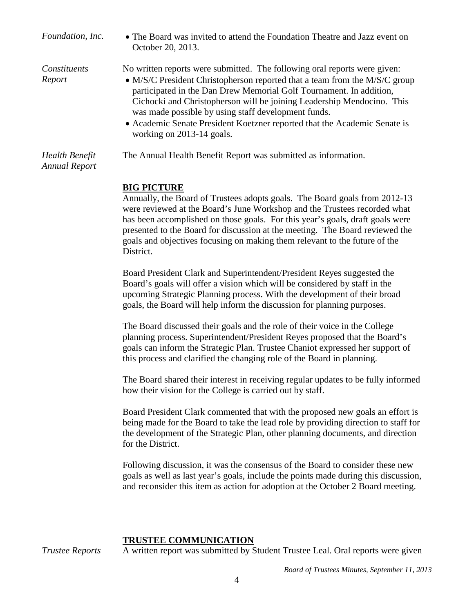| Foundation, Inc.                       | • The Board was invited to attend the Foundation Theatre and Jazz event on<br>October 20, 2013.                                                                                                                                                                                                                                                                                                                                                                           |
|----------------------------------------|---------------------------------------------------------------------------------------------------------------------------------------------------------------------------------------------------------------------------------------------------------------------------------------------------------------------------------------------------------------------------------------------------------------------------------------------------------------------------|
| Constituents<br>Report                 | No written reports were submitted. The following oral reports were given:<br>• M/S/C President Christopherson reported that a team from the M/S/C group<br>participated in the Dan Drew Memorial Golf Tournament. In addition,<br>Cichocki and Christopherson will be joining Leadership Mendocino. This<br>was made possible by using staff development funds.<br>• Academic Senate President Koetzner reported that the Academic Senate is<br>working on 2013-14 goals. |
| Health Benefit<br><b>Annual Report</b> | The Annual Health Benefit Report was submitted as information.                                                                                                                                                                                                                                                                                                                                                                                                            |

# **BIG PICTURE**

Annually, the Board of Trustees adopts goals. The Board goals from 2012-13 were reviewed at the Board's June Workshop and the Trustees recorded what has been accomplished on those goals. For this year's goals, draft goals were presented to the Board for discussion at the meeting. The Board reviewed the goals and objectives focusing on making them relevant to the future of the District.

Board President Clark and Superintendent/President Reyes suggested the Board's goals will offer a vision which will be considered by staff in the upcoming Strategic Planning process. With the development of their broad goals, the Board will help inform the discussion for planning purposes.

The Board discussed their goals and the role of their voice in the College planning process. Superintendent/President Reyes proposed that the Board's goals can inform the Strategic Plan. Trustee Chaniot expressed her support of this process and clarified the changing role of the Board in planning.

The Board shared their interest in receiving regular updates to be fully informed how their vision for the College is carried out by staff.

Board President Clark commented that with the proposed new goals an effort is being made for the Board to take the lead role by providing direction to staff for the development of the Strategic Plan, other planning documents, and direction for the District.

Following discussion, it was the consensus of the Board to consider these new goals as well as last year's goals, include the points made during this discussion, and reconsider this item as action for adoption at the October 2 Board meeting.

#### **TRUSTEE COMMUNICATION**

*Trustee Reports* A written report was submitted by Student Trustee Leal. Oral reports were given